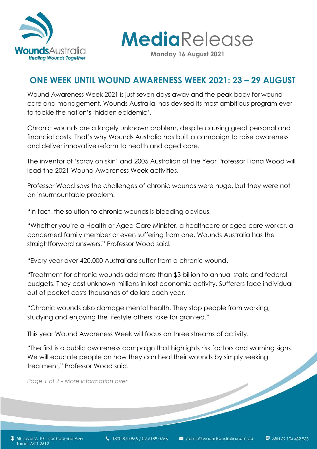

**Media**Release

**Monday 16 August 2021**

# **ONE WEEK UNTIL WOUND AWARENESS WEEK 2021: 23 – 29 AUGUST**

Wound Awareness Week 2021 is just seven days away and the peak body for wound care and management, Wounds Australia, has devised its most ambitious program ever to tackle the nation's 'hidden epidemic'.

Chronic wounds are a largely unknown problem, despite causing great personal and financial costs. That's why Wounds Australia has built a campaign to raise awareness and deliver innovative reform to health and aged care.

The inventor of 'spray on skin' and 2005 Australian of the Year Professor Fiona Wood will lead the 2021 Wound Awareness Week activities.

Professor Wood says the challenges of chronic wounds were huge, but they were not an insurmountable problem.

"In fact, the solution to chronic wounds is bleeding obvious!

"Whether you're a Health or Aged Care Minister, a healthcare or aged care worker, a concerned family member or even suffering from one, Wounds Australia has the straightforward answers," Professor Wood said.

"Every year over 420,000 Australians suffer from a chronic wound.

"Treatment for chronic wounds add more than \$3 billion to annual state and federal budgets. They cost unknown millions in lost economic activity. Sufferers face individual out of pocket costs thousands of dollars each year.

"Chronic wounds also damage mental health. They stop people from working, studying and enjoying the lifestyle others take for granted."

This year Wound Awareness Week will focus on three streams of activity.

"The first is a public awareness campaign that highlights risk factors and warning signs. We will educate people on how they can heal their wounds by simply seeking<br>treatment," Professor Wood said.<br>Page 1 of 2 - More information over treatment," Professor Wood said.

*Page 1 of 2 - More information over*

SB Level 2, 101 Northbourne Ave Turner ACT 2612

ABN 69 104 482 963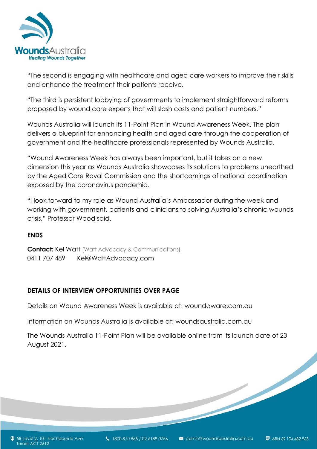

"The second is engaging with healthcare and aged care workers to improve their skills and enhance the treatment their patients receive.

"The third is persistent lobbying of governments to implement straightforward reforms proposed by wound care experts that will slash costs and patient numbers."

Wounds Australia will launch its 11-Point Plan in Wound Awareness Week. The plan delivers a blueprint for enhancing health and aged care through the cooperation of government and the healthcare professionals represented by Wounds Australia.

"Wound Awareness Week has always been important, but it takes on a new dimension this year as Wounds Australia showcases its solutions to problems unearthed by the Aged Care Royal Commission and the shortcomings of national coordination exposed by the coronavirus pandemic.

"I look forward to my role as Wound Australia's Ambassador during the week and working with government, patients and clinicians to solving Australia's chronic wounds crisis," Professor Wood said.

#### **ENDS**

**Contact:** Kel Watt (Watt Advocacy & Communications) 0411 707 489 Kel@WattAdvocacy.com

#### **DETAILS OF INTERVIEW OPPORTUNITIES OVER PAGE**

Details on Wound Awareness Week is available at: woundaware.com.au

Information on Wounds Australia is available at: woundsaustralia.com.au

The Wounds Australia 11-Point Plan will be available online from its launch date of 23 August 2021.

ABN 69 104 482 963